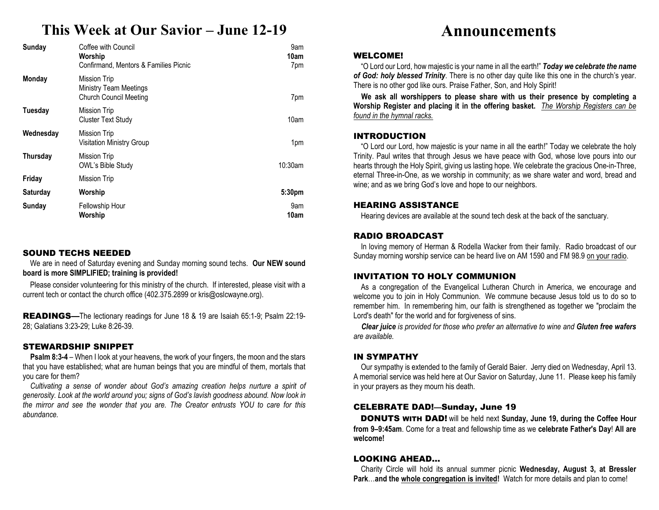## **This Week at Our Savior – June 12-19**

| Sunday          | Coffee with Council<br>Worship<br>Confirmand. Mentors & Families Picnic        | 9am<br>10am<br>7pm |
|-----------------|--------------------------------------------------------------------------------|--------------------|
| <b>Monday</b>   | Mission Trip<br><b>Ministry Team Meetings</b><br><b>Church Council Meeting</b> | 7pm                |
| Tuesday         | Mission Trip<br><b>Cluster Text Study</b>                                      | 10am               |
| Wednesday       | Mission Trip<br><b>Visitation Ministry Group</b>                               | 1pm                |
| <b>Thursday</b> | <b>Mission Trip</b><br>OWL's Bible Study                                       | 10:30am            |
| Friday          | Mission Trip                                                                   |                    |
| <b>Saturday</b> | Worship                                                                        | 5:30pm             |
| Sunday          | Fellowship Hour<br>Worship                                                     | 9am<br>10am        |

#### SOUND TECHS NEEDED

 We are in need of Saturday evening and Sunday morning sound techs. **Our NEW sound board is more SIMPLIFIED; training is provided!** 

Please consider volunteering for this ministry of the church. If interested, please visit with a current tech or contact the church office (402.375.2899 or kris@oslcwayne.org).

READINGS—The lectionary readings for June 18 & 19 are Isaiah 65:1-9; Psalm 22:19-28; Galatians 3:23-29; Luke 8:26-39.

#### STEWARDSHIP SNIPPET

 **Psalm 8:3-4** – When I look at your heavens, the work of your fingers, the moon and the stars that you have established; what are human beings that you are mindful of them, mortals that you care for them?

Cultivating a sense of wonder about God's amazing creation helps nurture a spirit of *generosity. Look at the world around you; signs of God's lavish goodness abound. Now look in the mirror and see the wonder that you are. The Creator entrusts YOU to care for this abundance.* 

## **Announcements**

#### WELCOME!

 "O Lord our Lord, how majestic is your name in all the earth!" *Today we celebrate the name of God: holy blessed Trinity*. There is no other day quite like this one in the church's year. There is no other god like ours. Praise Father, Son, and Holy Spirit!

**We ask all worshippers to please share with us their presence by completing a Worship Register and placing it in the offering basket.** *The Worship Registers can be found in the hymnal racks.* 

#### INTRODUCTION

 "O Lord our Lord, how majestic is your name in all the earth!" Today we celebrate the holy Trinity. Paul writes that through Jesus we have peace with God, whose love pours into our hearts through the Holy Spirit, giving us lasting hope. We celebrate the gracious One-in-Three, eternal Three-in-One, as we worship in community; as we share water and word, bread and wine; and as we bring God's love and hope to our neighbors.

#### HEARING ASSISTANCE

Hearing devices are available at the sound tech desk at the back of the sanctuary.

#### RADIO BROADCAST

 In loving memory of Herman & Rodella Wacker from their family. Radio broadcast of our Sunday morning worship service can be heard live on AM 1590 and FM 98.9 on your radio.

### INVITATION TO HOLY COMMUNION

 As a congregation of the Evangelical Lutheran Church in America, we encourage and welcome you to join in Holy Communion. We commune because Jesus told us to do so to remember him. In remembering him, our faith is strengthened as together we "proclaim the Lord's death" for the world and for forgiveness of sins.

*Clear juice is provided for those who prefer an alternative to wine and Gluten free wafersare available.* 

#### IN SYMPATHY

 Our sympathy is extended to the family of Gerald Baier. Jerry died on Wednesday, April 13. A memorial service was held here at Our Savior on Saturday, June 11. Please keep his family in your prayers as they mourn his death.

#### CELEBRATE DAD!—Sunday, June 19

DONUTS WITH DAD! will be held next **Sunday, June 19, during the Coffee Hour from 9–9:45am**. Come for a treat and fellowship time as we **celebrate Father's Day**! **All are welcome!** 

#### LOOKING AHEAD…

 Charity Circle will hold its annual summer picnic **Wednesday, August 3, at Bressler Park**…**and the whole congregation is invited!** Watch for more details and plan to come!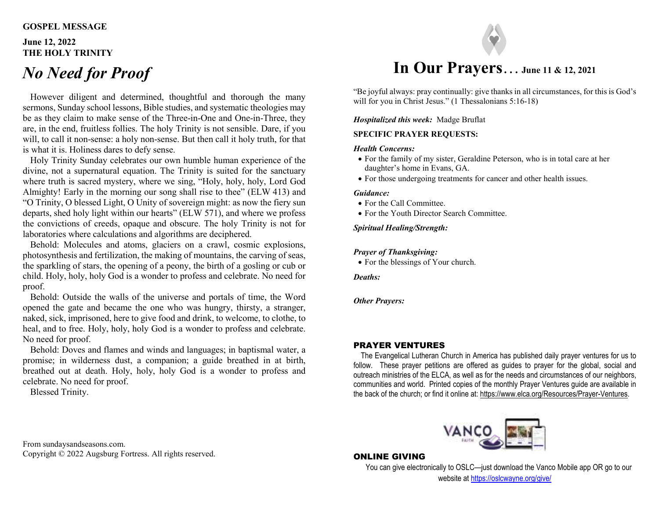#### **GOSPEL MESSAGE**

#### **June 12, 2022THE HOLY TRINITY**

# *No Need for Proof*

However diligent and determined, thoughtful and thorough the many sermons, Sunday school lessons, Bible studies, and systematic theologies may be as they claim to make sense of the Three-in-One and One-in-Three, they are, in the end, fruitless follies. The holy Trinity is not sensible. Dare, if you will, to call it non-sense: a holy non-sense. But then call it holy truth, for that is what it is. Holiness dares to defy sense.

 Holy Trinity Sunday celebrates our own humble human experience of the divine, not a supernatural equation. The Trinity is suited for the sanctuary where truth is sacred mystery, where we sing, "Holy, holy, holy, Lord God Almighty! Early in the morning our song shall rise to thee" (ELW 413) and "O Trinity, O blessed Light, O Unity of sovereign might: as now the fiery sun departs, shed holy light within our hearts" (ELW 571), and where we profess the convictions of creeds, opaque and obscure. The holy Trinity is not for laboratories where calculations and algorithms are deciphered.

 Behold: Molecules and atoms, glaciers on a crawl, cosmic explosions, photosynthesis and fertilization, the making of mountains, the carving of seas, the sparkling of stars, the opening of a peony, the birth of a gosling or cub or child. Holy, holy, holy God is a wonder to profess and celebrate. No need for proof.

 Behold: Outside the walls of the universe and portals of time, the Word opened the gate and became the one who was hungry, thirsty, a stranger, naked, sick, imprisoned, here to give food and drink, to welcome, to clothe, to heal, and to free. Holy, holy, holy God is a wonder to profess and celebrate. No need for proof.

 Behold: Doves and flames and winds and languages; in baptismal water, a promise; in wilderness dust, a companion; a guide breathed in at birth, breathed out at death. Holy, holy, holy God is a wonder to profess and celebrate. No need for proof.

Blessed Trinity.



"Be joyful always: pray continually: give thanks in all circumstances, for this is God's will for you in Christ Jesus." (1 Thessalonians 5:16-18)

#### *Hospitalized this week:* Madge Bruflat

#### **SPECIFIC PRAYER REQUESTS:**

#### *Health Concerns:*

- For the family of my sister, Geraldine Peterson, who is in total care at her daughter's home in Evans, GA.
- For those undergoing treatments for cancer and other health issues.

#### *Guidance:*

- For the Call Committee.
- For the Youth Director Search Committee.

#### *Spiritual Healing/Strength:*

#### *Prayer of Thanksgiving:*

For the blessings of Your church.

*Deaths:* 

*Other Prayers:* 

#### PRAYER VENTURES

 The Evangelical Lutheran Church in America has published daily prayer ventures for us to follow. These prayer petitions are offered as guides to prayer for the global, social and outreach ministries of the ELCA, as well as for the needs and circumstances of our neighbors, communities and world. Printed copies of the monthly Prayer Ventures guide are available in the back of the church; or find it online at: https://www.elca.org/Resources/Prayer-Ventures.



#### From sundaysandseasons.com. Copyright © 2022 Augsburg Fortress. All rights reserved.

#### ONLINE GIVING

 You can give electronically to OSLC—just download the Vanco Mobile app OR go to our website at https://oslcwayne.org/give/